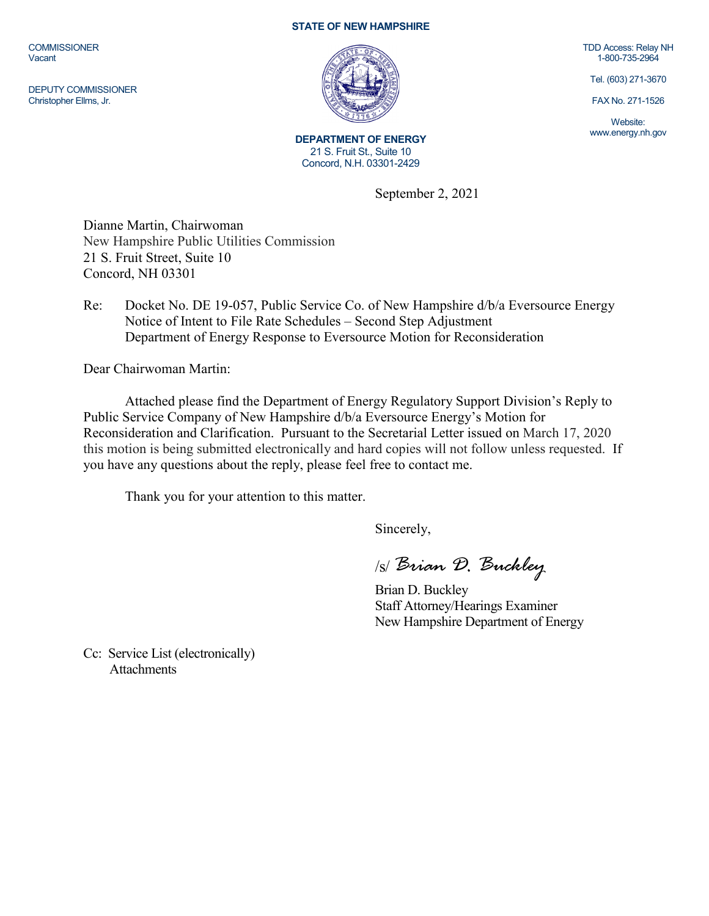**COMMISSIONER** Vacant

DEPUTY COMMISSIONER Christopher Ellms, Jr.

## **STATE OF NEW HAMPSHIRE**



**DEPARTMENT OF ENERGY** 21 S. Fruit St., Suite 10 Concord, N.H. 03301-2429

TDD Access: Relay NH 1-800-735-2964

Tel. (603) 271-3670

FAX No. 271-1526

Website: www.energy.nh.gov

September 2, 2021

Dianne Martin, Chairwoman New Hampshire Public Utilities Commission 21 S. Fruit Street, Suite 10 Concord, NH 03301

Re: Docket No. DE 19-057, Public Service Co. of New Hampshire d/b/a Eversource Energy Notice of Intent to File Rate Schedules – Second Step Adjustment Department of Energy Response to Eversource Motion for Reconsideration

Dear Chairwoman Martin:

Attached please find the Department of Energy Regulatory Support Division's Reply to Public Service Company of New Hampshire d/b/a Eversource Energy's Motion for Reconsideration and Clarification. Pursuant to the Secretarial Letter issued on March 17, 2020 this motion is being submitted electronically and hard copies will not follow unless requested. If you have any questions about the reply, please feel free to contact me.

Thank you for your attention to this matter.

Sincerely,

/s/ *Brian D. Buckley*

Brian D. Buckley Staff Attorney/Hearings Examiner New Hampshire Department of Energy

Cc: Service List (electronically) **Attachments**